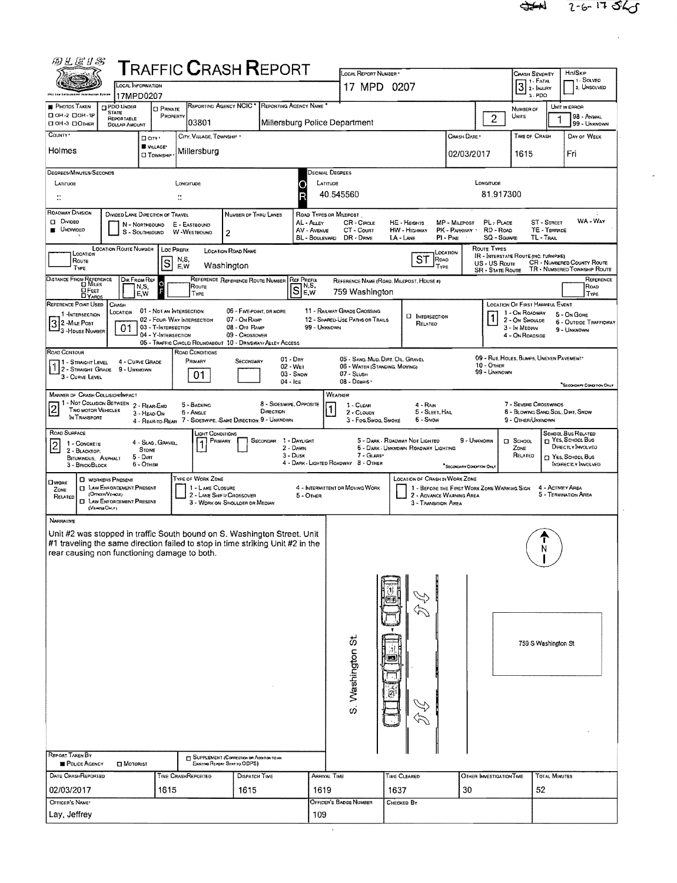$\mathcal{L}$ 

| 四儿居り名                                                                                                                                                                                                                                                                                                            | <b>TRAFFIC CRASH REPORT</b>                                                     |                                                                                   |                                | LOCAL REPORT NUMBER                                                                                                                                                             |                                                 |                                             | <b>CRASH SEVERITY</b>                                                         | HIT/SKIP                                                          |  |  |  |  |  |  |
|------------------------------------------------------------------------------------------------------------------------------------------------------------------------------------------------------------------------------------------------------------------------------------------------------------------|---------------------------------------------------------------------------------|-----------------------------------------------------------------------------------|--------------------------------|---------------------------------------------------------------------------------------------------------------------------------------------------------------------------------|-------------------------------------------------|---------------------------------------------|-------------------------------------------------------------------------------|-------------------------------------------------------------------|--|--|--|--|--|--|
| LOCAL INFORMATION                                                                                                                                                                                                                                                                                                |                                                                                 |                                                                                   |                                | 17 MPD 0207                                                                                                                                                                     |                                                 |                                             | 1 - Solved<br>1. FATAL<br>$\overline{3}$<br>2. UNSOLVED<br>2 - MJURY<br>3 PDO |                                                                   |  |  |  |  |  |  |
| 17MPD0207<br>PDO UNDER<br><b>PHOTOS TAKEN</b><br><b>STATE</b>                                                                                                                                                                                                                                                    | REPORTING AGENCY NCIC<br><b>D</b> PRIVATE                                       | REPORTING AGENCY NAME                                                             |                                | UNIT IN ERROR<br>NUMBER OF                                                                                                                                                      |                                                 |                                             |                                                                               |                                                                   |  |  |  |  |  |  |
| □ 0H-2 □ 0H-1P<br>REPORTABLE<br>□ ОН-3 □ Отнев<br><b>DOLLAR AMOUNT</b>                                                                                                                                                                                                                                           | PROPERTY<br>03801                                                               |                                                                                   | Millersburg Police Department  |                                                                                                                                                                                 |                                                 | $\overline{c}$                              | UNITS                                                                         | 98 - ANIMAL<br>99 - UNKNOWN                                       |  |  |  |  |  |  |
| COUNTY *<br>D City *                                                                                                                                                                                                                                                                                             | CITY, VILLAGE, TOWNSHIP<br>VILLAGE*                                             |                                                                                   |                                |                                                                                                                                                                                 |                                                 | TIME OF CRASH                               | DAY OF WEEK                                                                   |                                                                   |  |  |  |  |  |  |
| Holmes                                                                                                                                                                                                                                                                                                           | Millersburg<br><b>CI TOWNSHIP</b>                                               |                                                                                   |                                |                                                                                                                                                                                 |                                                 | 02/03/2017                                  | 1615                                                                          | Fri                                                               |  |  |  |  |  |  |
| DEGREES/MINUTES/SECONDS                                                                                                                                                                                                                                                                                          |                                                                                 |                                                                                   | Jecimal Degrees                |                                                                                                                                                                                 |                                                 |                                             |                                                                               |                                                                   |  |  |  |  |  |  |
| LATITUDE<br>$\ddot{ }$                                                                                                                                                                                                                                                                                           | LONGITUDE                                                                       |                                                                                   | Ο                              | LATITUDE<br>LONGITUDE<br>40.545560<br>81.917300                                                                                                                                 |                                                 |                                             |                                                                               |                                                                   |  |  |  |  |  |  |
| ROADWAY DIVISION<br>DIVIDED LANE DIRECTION OF TRAVEL                                                                                                                                                                                                                                                             |                                                                                 | NUMBER OF THRU LANES                                                              |                                | ROAD TYPES OR MILEPOST<br>WA - War                                                                                                                                              |                                                 |                                             |                                                                               |                                                                   |  |  |  |  |  |  |
| <b>Q</b> Divideo<br>CR - CIRCLE<br>MP - Magpost<br>PL-PLACE<br>ST - STREET<br>AL - ALLEY<br>HE - HEIGHTS<br>E - EASTBOUND<br>N - NORTHBOUND<br><b>B</b> UNDIVIDED<br>PK - PARKWAY :<br>RD-Roap<br>TE - TERRACE<br>AV - AVENUE<br>CT - Count<br>HW - HIGHWAY<br>S - SOUTHBOUND<br>W-WESTBOUND<br>$\boldsymbol{2}$ |                                                                                 |                                                                                   |                                |                                                                                                                                                                                 |                                                 |                                             |                                                                               |                                                                   |  |  |  |  |  |  |
| SQ - SQUARE<br>TL-TAAL<br>BL - BOULEVARD<br>DR - DRNE<br>LA - LANE<br>PI-PIKE<br><b>ROUTE TYPES</b><br><b>LOCATION ROUTE NUMBER</b><br>LOC PREFIX<br><b>LOCATION ROAD NAME</b><br>LOCATION                                                                                                                       |                                                                                 |                                                                                   |                                |                                                                                                                                                                                 |                                                 |                                             |                                                                               |                                                                   |  |  |  |  |  |  |
| CCATION<br>ROUTE<br>TYPE                                                                                                                                                                                                                                                                                         | N,S,<br>S<br>Washington<br>E.W                                                  |                                                                                   |                                |                                                                                                                                                                                 | ST<br>Roao<br>TYPE                              | US - US Route<br><b>SR - STATE ROUTE</b>    | IR - INTERSTATE ROUTE (INC. TURNPIKE)                                         | <b>CR - NUMBERED COUNTY ROUTE</b><br>TR - NUMBERED TOWNSHIP ROUTE |  |  |  |  |  |  |
| DISTANCE FROM REFERENCE<br>DIR FROM REF<br>N,S,                                                                                                                                                                                                                                                                  | $\ddot{\rm{o}}$<br>Route                                                        | REFERENCE REFERENCE ROUTE NUMBER                                                  | <b>REF PREFIX</b><br>IN.S.     |                                                                                                                                                                                 | REFERENCE NAME (ROAD, MILEPOST, HOUSE #)        |                                             |                                                                               | REFERENCE<br>ROAD                                                 |  |  |  |  |  |  |
| <b>DFEET</b><br>E, W<br>REFERENCE POINT USED<br>CRASH                                                                                                                                                                                                                                                            | TYPE                                                                            |                                                                                   | $\overline{\mathbf{s}}$<br>E.W | 759 Washington                                                                                                                                                                  |                                                 |                                             | LOCATION OF FIRST HARMFUL EVENT                                               | TYPE                                                              |  |  |  |  |  |  |
| LOCATION<br>1-INTERSECTION<br>$32$ -Mile Post                                                                                                                                                                                                                                                                    | 01 - NOT AN INTERSECTION<br>02 - FOUR WAY INTERSECTION                          | 06 - FIVE-POINT, OR MORE<br>07 - On RAMP                                          |                                | 11 - RAILWAY GRADE CROSSING<br>12 - SHARED-USE PATHS OR TRAILS                                                                                                                  | <b>CI INTERSECTION</b><br>RELATED               |                                             | 1 - On ROADWAY<br>2 - On Shoulde                                              | 5 - On Gone<br>6 - OUTSIDE TRAFFICWAY                             |  |  |  |  |  |  |
| 01<br><sup>1</sup> 3 - House Number                                                                                                                                                                                                                                                                              | 03 - T-INTERSECTION<br>04 - Y-INTERSECTION                                      | 08 - OFF RAMP<br>09 - Crossover                                                   | 99 - UNKNOWN                   |                                                                                                                                                                                 |                                                 |                                             | 3 - In Median<br>4 - On Roadside                                              | 9 - UNKNOWN                                                       |  |  |  |  |  |  |
| ROAD CONTOUR                                                                                                                                                                                                                                                                                                     | 05 - TRAFFIC CIRCLEJ ROUNDABOUT 10 - DRIVEWAY/ ALLEY ACCESS<br>ROAD CONDITIONS  | $01 - \text{Dry}$                                                                 |                                | 05 - SAND, MUD, DIRT, OIL, GRAVEL                                                                                                                                               |                                                 |                                             | 09 - RUT, HOLES, BUMPS, UNEVEN PAVEMENT*                                      |                                                                   |  |  |  |  |  |  |
| 4 - CURVE GRADE<br>1 - STRAIGHT LEVEL<br><b>2 - STRAIGHT GRADE</b><br>9 - UNKNOWN<br>3 - CURVE LEVEL                                                                                                                                                                                                             | Primary<br>01                                                                   | SECONDARY<br>02 - Wet<br>03 - Snow                                                |                                | 06 - WATER (STANDING, MOVING)<br>07 - SLUSH                                                                                                                                     |                                                 | 10 - OTHER<br>99 - UNKNOWN                  |                                                                               |                                                                   |  |  |  |  |  |  |
| <b>MANNER OF CRASH COLLISION/IMPACT</b>                                                                                                                                                                                                                                                                          |                                                                                 | 04 - Ice                                                                          | WEATHER                        | 08 - Deanis                                                                                                                                                                     |                                                 |                                             |                                                                               | <sup>*</sup> SECONDARY CONDITION ONLY                             |  |  |  |  |  |  |
| 1 - NOT COLLISION BETWEEN<br>2 - REAR-END<br>$\overline{2}$<br>TWO MOTOR VEHICLES<br>3 - HEAO ON<br>IN TRANSPORT                                                                                                                                                                                                 | 5 - BACKING<br><b>6 - ANGLE</b><br>4 - Rear-to-Rear                             | 8 - SIOESWIPE, OPPOSITE<br>DIRECTION<br>7 - SIDESWIPE, SAME DIRECTION 9 - UNKNOWN |                                | 7 - Severe Crosswings<br>1 - CLEAR<br>$4 - RAM$<br>5 - SLEET, HAIL<br>8 - Blowing Sand, Soil, Dirt, Snow<br>2 - CLOUDY<br>3 - Fog, Smog, Smoke<br>6 - Snow<br>9 - OTHER/UNKNOWN |                                                 |                                             |                                                                               |                                                                   |  |  |  |  |  |  |
| ROAD SURFACE<br>1 - CONCRETE                                                                                                                                                                                                                                                                                     | JGHT CONDITIONS<br>PRIMARY<br>4 - SLAG, GRAVEL.                                 | SECONDAR 1 - DAYLIGHT                                                             |                                |                                                                                                                                                                                 | 5 - DARK - ROADWAY NOT LIGHTED                  | 9 - UNKNOWN                                 | CI SCHOOL                                                                     | <b>SCHOOL BUS RELATED</b><br>YES, SCHOOL BUS                      |  |  |  |  |  |  |
| $\overline{c}$<br>STONE<br>2 - BLACKTOP.<br>$5 -$ Dirt<br>BITUMINOUS, ASPHALT                                                                                                                                                                                                                                    |                                                                                 | 2 - DAWN<br>3 - Dusk                                                              |                                | 7 - GLARE                                                                                                                                                                       | 6 - DARK - UMKNOWN ROADWAY LIGHTING             |                                             | ZONE<br>RELATED                                                               | DIRECTLY INVOLVED<br>YES, SCHOOL BUS                              |  |  |  |  |  |  |
| 6 - Other<br>3 - Brick/Block<br><b>C</b> WORKERS PRESENT                                                                                                                                                                                                                                                         | TYPE OF WORK ZONE                                                               |                                                                                   |                                | 4 - DARK - LIGHTED ROADWAY 8 - OTHER                                                                                                                                            | <b>LOCATION OF CRASH IN WORK ZONE</b>           | "SECONDARY CONDITION ONLY                   |                                                                               | INDIRECTLY INVOLVED                                               |  |  |  |  |  |  |
| <b>O</b> WORK<br><b>CI LAW ENFORCEMENT PRESENT</b><br>ZONE<br>(OFFICER/VE-ROLE)<br>RELATED<br><b>CI LAW ENFORCEMENT PRESENT</b><br>(VEHICLE OM.Y)                                                                                                                                                                | 1 - LANE CLOSURE<br>2 - LANE SHIFT/ CROSSOVER<br>3 - WORK ON SHOULDER OR MEDIAN |                                                                                   | 5 - OTHER                      | 4 - INTERMITTENT OR MOVING WORK                                                                                                                                                 | 2 - ADVANCE WARNING AREA<br>3 - TRANSITION AREA | 1 - BEFORE THE FIRST WORK ZONE WARNING SIGN | 4 - ACTIVITY AREA                                                             | 5 - TERMINATION AREA                                              |  |  |  |  |  |  |
| NARRATIVE                                                                                                                                                                                                                                                                                                        |                                                                                 |                                                                                   |                                |                                                                                                                                                                                 |                                                 |                                             |                                                                               |                                                                   |  |  |  |  |  |  |
| Unit #2 was stopped in traffic South bound on S. Washington Street. Unit<br>#1 traveling the same direction failed to stop in time striking Unit #2 in the<br>rear causing non functioning damage to both.                                                                                                       |                                                                                 |                                                                                   |                                |                                                                                                                                                                                 |                                                 |                                             |                                                                               |                                                                   |  |  |  |  |  |  |
|                                                                                                                                                                                                                                                                                                                  |                                                                                 |                                                                                   |                                |                                                                                                                                                                                 |                                                 |                                             |                                                                               |                                                                   |  |  |  |  |  |  |
|                                                                                                                                                                                                                                                                                                                  |                                                                                 |                                                                                   |                                |                                                                                                                                                                                 |                                                 |                                             |                                                                               |                                                                   |  |  |  |  |  |  |
|                                                                                                                                                                                                                                                                                                                  |                                                                                 |                                                                                   |                                |                                                                                                                                                                                 |                                                 |                                             |                                                                               |                                                                   |  |  |  |  |  |  |
|                                                                                                                                                                                                                                                                                                                  |                                                                                 |                                                                                   |                                |                                                                                                                                                                                 |                                                 |                                             |                                                                               |                                                                   |  |  |  |  |  |  |
|                                                                                                                                                                                                                                                                                                                  |                                                                                 |                                                                                   |                                |                                                                                                                                                                                 |                                                 |                                             | 759 S Washington St                                                           |                                                                   |  |  |  |  |  |  |
|                                                                                                                                                                                                                                                                                                                  |                                                                                 |                                                                                   |                                | S. Washington St                                                                                                                                                                |                                                 |                                             |                                                                               |                                                                   |  |  |  |  |  |  |
|                                                                                                                                                                                                                                                                                                                  |                                                                                 |                                                                                   |                                |                                                                                                                                                                                 |                                                 |                                             |                                                                               |                                                                   |  |  |  |  |  |  |
|                                                                                                                                                                                                                                                                                                                  |                                                                                 |                                                                                   |                                |                                                                                                                                                                                 |                                                 |                                             |                                                                               |                                                                   |  |  |  |  |  |  |
|                                                                                                                                                                                                                                                                                                                  |                                                                                 |                                                                                   |                                |                                                                                                                                                                                 |                                                 |                                             |                                                                               |                                                                   |  |  |  |  |  |  |
|                                                                                                                                                                                                                                                                                                                  |                                                                                 |                                                                                   |                                |                                                                                                                                                                                 |                                                 |                                             |                                                                               |                                                                   |  |  |  |  |  |  |
| <b>REPORT TAKEN BY</b>                                                                                                                                                                                                                                                                                           |                                                                                 | <b>M SUPPLEMENT (CORRECTION OR ADDITION TO AN</b>                                 |                                |                                                                                                                                                                                 |                                                 |                                             |                                                                               |                                                                   |  |  |  |  |  |  |
| <b>B</b> POLICE AGENCY<br>$\square$ Motorist<br>DATE CRASHREPORTED                                                                                                                                                                                                                                               | EXISTING REPORT SENT TO ODPS)<br>TIME CRASHREPORTED                             | DISPATCH TIME                                                                     | ARRIVAL TIME                   |                                                                                                                                                                                 | TIME CLEARED                                    |                                             | TOTAL MINUTES                                                                 |                                                                   |  |  |  |  |  |  |
| 02/03/2017                                                                                                                                                                                                                                                                                                       | 1615                                                                            | 1615                                                                              | 1619                           |                                                                                                                                                                                 | OTHER INVESTIGATION TIME<br>30<br>52<br>1637    |                                             |                                                                               |                                                                   |  |  |  |  |  |  |
| OFFICER'S NAME*                                                                                                                                                                                                                                                                                                  |                                                                                 |                                                                                   |                                | Officer's Badge Number                                                                                                                                                          |                                                 |                                             |                                                                               |                                                                   |  |  |  |  |  |  |
| Lay, Jeffrey                                                                                                                                                                                                                                                                                                     |                                                                                 |                                                                                   | 109                            |                                                                                                                                                                                 |                                                 |                                             |                                                                               |                                                                   |  |  |  |  |  |  |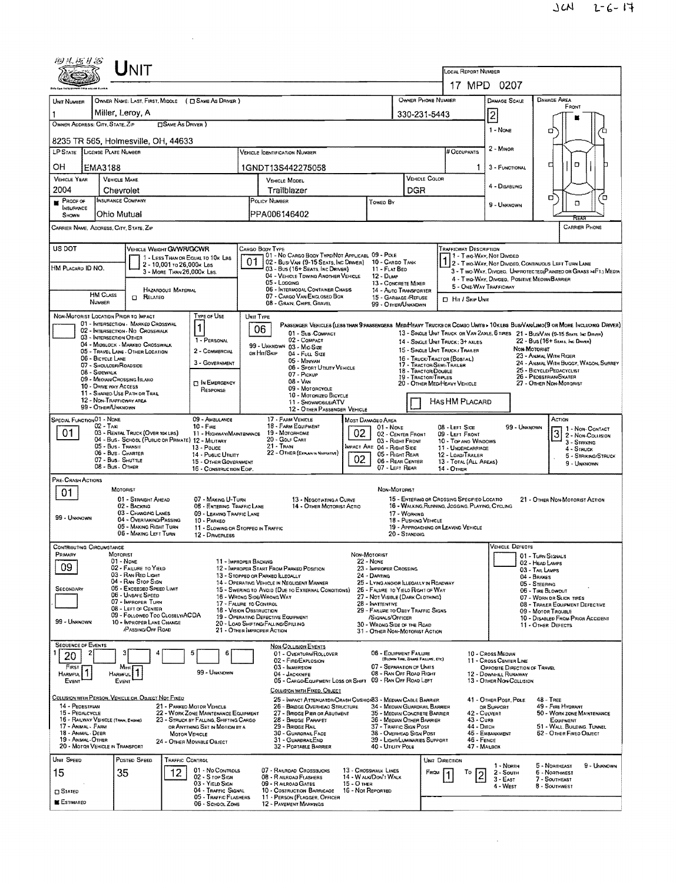| 砂儿医甘富                                                                                                                                                             | UNIT                                                                                                         |                                                                                |                                                                                                  |                                              |                                                                                                                   |                                                                                   |                                                                                   |                                                                                                                                                         |  |  |  |
|-------------------------------------------------------------------------------------------------------------------------------------------------------------------|--------------------------------------------------------------------------------------------------------------|--------------------------------------------------------------------------------|--------------------------------------------------------------------------------------------------|----------------------------------------------|-------------------------------------------------------------------------------------------------------------------|-----------------------------------------------------------------------------------|-----------------------------------------------------------------------------------|---------------------------------------------------------------------------------------------------------------------------------------------------------|--|--|--|
|                                                                                                                                                                   |                                                                                                              |                                                                                |                                                                                                  | <b>LOCAL REPORT NUMBER</b>                   |                                                                                                                   |                                                                                   |                                                                                   |                                                                                                                                                         |  |  |  |
|                                                                                                                                                                   |                                                                                                              |                                                                                |                                                                                                  | 17 MPD 0207                                  |                                                                                                                   |                                                                                   |                                                                                   |                                                                                                                                                         |  |  |  |
| UNIT NUMBER                                                                                                                                                       | OWNER NAME: LAST, FIRST, MIDDLE ( C SAME AS DRIVER )                                                         |                                                                                |                                                                                                  |                                              | OWNER PHONE NUMBER                                                                                                |                                                                                   | DAMAGE SCALE                                                                      | <b>DAMAGE AREA</b><br>FRONT                                                                                                                             |  |  |  |
| OWNER ADDRESS: CITY, STATE, ZIP                                                                                                                                   | Miller, Leroy, A                                                                                             | <b>CISAME AS DRIVER</b> )                                                      |                                                                                                  |                                              | 330-231-5443                                                                                                      |                                                                                   | 2                                                                                 |                                                                                                                                                         |  |  |  |
|                                                                                                                                                                   | 8235 TR 565, Holmesville, OH, 44633                                                                          |                                                                                |                                                                                                  |                                              |                                                                                                                   |                                                                                   | 1 - None                                                                          | σ                                                                                                                                                       |  |  |  |
| LP STATE   LICENSE PLATE NUMBER                                                                                                                                   |                                                                                                              |                                                                                | <b>VEHICLE IDENTIFICATION NUMBER</b>                                                             |                                              |                                                                                                                   | # Occupants                                                                       | 2 - MINOR                                                                         |                                                                                                                                                         |  |  |  |
| OН                                                                                                                                                                | EMA3188                                                                                                      |                                                                                | 1GNDT13S442275058                                                                                |                                              |                                                                                                                   | 1                                                                                 | $\Box$<br>¤<br>3 - FUNCTIONAL                                                     |                                                                                                                                                         |  |  |  |
| <b>VEHICLE YEAR</b>                                                                                                                                               | <b>VEHICLE MAKE</b>                                                                                          |                                                                                | <b>VEHICLE MODEL</b>                                                                             |                                              | VEHICLE COLOR                                                                                                     |                                                                                   | 4 - DISABLING                                                                     |                                                                                                                                                         |  |  |  |
| 2004                                                                                                                                                              | Chevrolet                                                                                                    |                                                                                | Trailblazer                                                                                      | Toweo By                                     | <b>DGR</b>                                                                                                        |                                                                                   |                                                                                   | σ<br>n                                                                                                                                                  |  |  |  |
| <b>PROOF OF</b><br>INSURANCE                                                                                                                                      | INSURANCE COMPANY<br>Ohio Mutual                                                                             |                                                                                | POLICY NUMBER<br>PPA006146402                                                                    |                                              |                                                                                                                   | 9 - UNKNOWN                                                                       | α                                                                                 |                                                                                                                                                         |  |  |  |
| SHOWN                                                                                                                                                             | CARRIER NAME, ADDRESS, CITY, STATE, ZIP                                                                      |                                                                                |                                                                                                  |                                              |                                                                                                                   |                                                                                   |                                                                                   | REA<br><b>CARRIER PHONE</b>                                                                                                                             |  |  |  |
|                                                                                                                                                                   |                                                                                                              |                                                                                |                                                                                                  |                                              |                                                                                                                   |                                                                                   |                                                                                   |                                                                                                                                                         |  |  |  |
| US DOT                                                                                                                                                            | VEHICLE WEIGHT GVWR/GCWR                                                                                     | 1 - LESS THAN OR EQUAL TO 10K LBS                                              | CARGO BODY TYPE<br>01 - No CARGO BODY TYPE/NOT APPLICABL 09 - POLE                               |                                              |                                                                                                                   | TRAFFICWAY DESCRIPTION                                                            |                                                                                   |                                                                                                                                                         |  |  |  |
| HM PLACARD ID NO.                                                                                                                                                 |                                                                                                              | 2 - 10,001 to 26,000 k Las<br>3 - MORE THAN 26.000x LBS.                       | 01<br>02 - Busi Van (9-15 Seats, Inc Driver)<br>03 - Bus (16+ SEATS, INC DRIVER)                 | 11 FLAT BED                                  | 10 - CARGO TANK                                                                                                   |                                                                                   |                                                                                   | 1 2 - Two-Way, Not Divided<br>1 2 - Two-Way, Not Divided, Continuous Left Turn Lane<br>3 - Two-WAY, DIVIDEO. UNPROTECTED (PAINTED OR GRASS >4FT.) MEDIA |  |  |  |
|                                                                                                                                                                   |                                                                                                              |                                                                                | 04 - VEHICLE TOWING ANOTHER VEHICLE<br>05 - Logging                                              | 12 - Dump                                    | 13 - CONCRETE MIXER                                                                                               |                                                                                   | 4 - Two-WAY, DIVIDED, POSITIVE MEDIAN BARRIER                                     |                                                                                                                                                         |  |  |  |
|                                                                                                                                                                   | HAZARDOUS MATERIAL<br><b>HM CLASS</b><br><b>CI RELATED</b>                                                   |                                                                                | 06 - INTERMODAL CONTAINER CHASIS<br>07 - CARGO VAN/ENGLOSED BOX                                  |                                              | <b>14 - AUTO TRANSPORTER</b><br>15 - GARBAGE /REFUSE                                                              | <b>D</b> Hit / Skip UNIT                                                          | 5 - ONE-WAY TRAFFICWAY                                                            |                                                                                                                                                         |  |  |  |
| <b><i><u>NUMBER</u></i></b>                                                                                                                                       | NON-MOTORIST LOCATION PRIOR TO IMPACT                                                                        | TYPE OF USE                                                                    | 08 - GRAIN, CHIPS, GRAVEL                                                                        |                                              | 99 - OTHER/UNKNOWN                                                                                                |                                                                                   |                                                                                   |                                                                                                                                                         |  |  |  |
|                                                                                                                                                                   | 01 - INTERSECTION - MARKED CROSSWAL<br>02 - INTERSECTION - NO CROSSWALK                                      | 1                                                                              | UNIT TYPE<br>06                                                                                  |                                              |                                                                                                                   |                                                                                   |                                                                                   | PASSENGER VEHICLES (LESS THAN 9 PASSENGERS MEDIMEAVY TRUCKS OR COMBO UNITS > 10KLBS BUS/VAV/LIMO(9 OR MORE INCLUDING DRIVER)                            |  |  |  |
|                                                                                                                                                                   | 03 - INTERSECTION OTHER<br>04 - MIDBLOCK - MARKED CROSSWALK                                                  | 1 - PERSONAL                                                                   | 01 - Sus-COMPACT<br>02 - COMPACT                                                                 |                                              |                                                                                                                   | 14 - SINGLE UNIT TRUCK; 3+ AXLES                                                  |                                                                                   | 13 - SINGLE UNIT TRUCK OR VAN ZAXLE, 6 TIRES 21 - BUS/VAN (9-15 SEATS, INC DRIVER)<br>22 - Bus (16+ Seats, Inc Driver)                                  |  |  |  |
|                                                                                                                                                                   | 05 - TRAVEL LANE - OTHER LOCATION<br>06 - BICYCLE LANE                                                       | 2 - COMMERCIAL                                                                 | 99 - UNKNOWN 03 - MID SIZE<br>or Hit/Skip<br>04 - FULL SIZE                                      |                                              |                                                                                                                   | 15 - SINGLE UNIT TRUCK / TRAILER<br>16 - TRUCK/TRACTOR (BOSTAIL)                  |                                                                                   | NON-MOTORIST<br>23 - ANIMAL WITH RIDER                                                                                                                  |  |  |  |
| 08 - Sidewalk                                                                                                                                                     | 07 - SHOULDER/ROADSIDE                                                                                       | 3 - GOVERNMENT                                                                 | 05 - Minivan<br>06 - Sport Utility Vehicle                                                       |                                              | 17 - TRACTOR/SEMI-TRAILER<br>18 - TRACTOR/DOUBLE                                                                  |                                                                                   |                                                                                   | 24 - ANMAL WITH BUGGY, WAGON, SURREY<br>25 - BICYCLE/PEDACYCLIST                                                                                        |  |  |  |
|                                                                                                                                                                   | 09 - MEOWN/CROSSING ISLAND<br>10 - DRIVE WAY ACCESS                                                          | <b>DIN EMERGENCY</b>                                                           | 07 - Pickup<br>08 - VAN<br>09 - MOTORCYCLE                                                       |                                              | 19 - TRACTOR/TRIPLES                                                                                              | 26 - Pedestrian/Skater<br>20 - OTHER MEDIHEAVY VEHICLE<br>27 - OTHER NON-MOTORIST |                                                                                   |                                                                                                                                                         |  |  |  |
|                                                                                                                                                                   | 11 - Shareo Use Path or Trail<br>12 - NON-TRAFFICWAY AREA                                                    | RESPONSE                                                                       | 10 - MOTORIZED BICYCLE<br>11 - SNOWMOBILE/ATV                                                    |                                              |                                                                                                                   | HAS HM PLACARD                                                                    |                                                                                   |                                                                                                                                                         |  |  |  |
|                                                                                                                                                                   | 99 - OTHER/UNKNOWN                                                                                           |                                                                                | 12 - OTHER PASSENGER VEHICLE                                                                     |                                              |                                                                                                                   |                                                                                   |                                                                                   |                                                                                                                                                         |  |  |  |
| SPECIAL FUNCTION 01 - NONE                                                                                                                                        | $02 - TAXi$                                                                                                  | 09 AMBULANCE<br>$10 -$ Fine                                                    | 17 - FARM VEHICLE<br>18 - FARM EQUIPMENT<br>19 - Мотовноме                                       | MOST DAMAGEO AREA<br>$01 - None$<br>02       |                                                                                                                   | 08 - LEFT SIDE                                                                    | ACTION<br>99 - UNKNOWN<br>1 - Non-CONTACT                                         |                                                                                                                                                         |  |  |  |
| 01                                                                                                                                                                | 03 - RENTAL TRUCK (OVER 10KLBS)<br>04 - Bus - SCHOOL (PUBLIC OR PRIVATE) 12 - MILITARY<br>05 - Bus - Transit | 11 - HIGHWAYIMAINTENANCE                                                       | 02 - CENTER FRONT<br>03 - Right Front                                                            | 09 - LEFT FRONT<br>10 - TOP AND WINDOWS      |                                                                                                                   | $\overline{3}$<br>2 - NON-COLLISION<br>$3 -$ Steiking                             |                                                                                   |                                                                                                                                                         |  |  |  |
|                                                                                                                                                                   | 06 - Bus - Charter<br>07 - Bus - SHUTTLE                                                                     | 13 - Pouce<br>14 - Pusuc Ununy                                                 | 21 - Tran<br>22 - OTHER (EXPLAN IN NARRATIVE)                                                    | MPACT ARE 04 - RIGHT SIDE<br>02              | 05 - RIGHT REAR                                                                                                   | 11 - UNDERCARRIAGE<br>12 - LOAD/TRAILER                                           |                                                                                   | 4 - STRUCK<br>5 - STRIKING/STRUCK                                                                                                                       |  |  |  |
| 06 - REAR CENTER<br>15 - OTHER GOVERNMENT<br>13 - TOTAL (ALL AREAS)<br>9 - Unknown<br>08 - Bus - OTHER<br>07 - LEFT REAR<br>16 - CONSTRUCTION EOIP.<br>14 - Отнев |                                                                                                              |                                                                                |                                                                                                  |                                              |                                                                                                                   |                                                                                   |                                                                                   |                                                                                                                                                         |  |  |  |
| PRE-CRASH ACTIONS                                                                                                                                                 | MOTORIST                                                                                                     |                                                                                |                                                                                                  |                                              | NON-MOTORIST                                                                                                      |                                                                                   |                                                                                   |                                                                                                                                                         |  |  |  |
| 01                                                                                                                                                                | 01 - STRAIGHT AHEAD<br>02 - BACKING                                                                          | 07 - MAKING U-TURN                                                             | 13 - NEGOTIATING A CURVE                                                                         |                                              |                                                                                                                   | 15 - ENTERING OR CROSSING SPECIFIED LOCATIO                                       |                                                                                   | 21 - OTHER NON-MOTORIST ACTION                                                                                                                          |  |  |  |
| 99 - UNKNOWN                                                                                                                                                      | 03 - CHANGING LANES<br>04 - OVERTAKING/PASSING                                                               | 08 - ENTERING TRAFFIC LANE<br>09 - LEAVING TRAFFIC LANE<br>10 - PARKED         | 14 - OTHER MOTORIST ACTIO                                                                        |                                              | 17 - WORKING<br>18 - Pushing Vehicle                                                                              | 16 - WALKING, RUMNING, JOGGING, PLAYING, CYCLING                                  |                                                                                   |                                                                                                                                                         |  |  |  |
|                                                                                                                                                                   | 05 - Making Right Turn<br>06 - MAKING LEFT TURN                                                              |                                                                                | 11 - SLOWING OR STOPPEO IN TRAFFIC                                                               |                                              | 20 - Standing                                                                                                     | 19 - APPROACHING OR LEAVING VEHICLE                                               |                                                                                   |                                                                                                                                                         |  |  |  |
| <b>CONTRIBUTING CIRCUMSTANCE</b>                                                                                                                                  |                                                                                                              | 12 - DRIVERLESS                                                                |                                                                                                  |                                              |                                                                                                                   |                                                                                   | <b>VEHICLE DEFECTS</b>                                                            |                                                                                                                                                         |  |  |  |
| PRIMARY                                                                                                                                                           | <b>NOTORIST</b><br>01 - NONE                                                                                 |                                                                                | 11 - IMPROPER BACKING                                                                            | NON-MOTORIST<br>22 - None                    |                                                                                                                   |                                                                                   |                                                                                   | 01 - TURN SIGNALS<br>02 - HEAD LAMPS                                                                                                                    |  |  |  |
| 09                                                                                                                                                                | 02 - FAILURE TO YIELD<br>03 - RAN RED LIGHT                                                                  |                                                                                | 12 - IMPROPER START FROM PARKED POSITION<br>13 - Stopped or Parked Illegally                     | 23 - IMPROPER CROSSING<br>24 - DARTING       |                                                                                                                   |                                                                                   |                                                                                   | 03 - Tail Lawps<br>04 - BRAKES                                                                                                                          |  |  |  |
| Secondary                                                                                                                                                         | 04 - RAN STOP SIGN<br>05 - Exceepeo Speep Limit                                                              |                                                                                | 14 - OPERATING VEHICLE IN NEGLIGENT MANNER<br>15 - Swering to Avoid (Due to External Conditions) |                                              | 25 - LYING ANO/OR LLEGALLY IN ROADWAY<br>26 - FALURE TO YIELO RIGHT OF WAY                                        |                                                                                   |                                                                                   | 05 - STEERING<br>06 - TIRE BLOWOUT                                                                                                                      |  |  |  |
|                                                                                                                                                                   | 06 - UNSAFE SPEED<br>07 - IMPROPER TURN                                                                      |                                                                                | 16 - Wrong Side/Wrong Way<br>17 - FALURE TO CONTROL                                              | 28 - INATTENTIVE                             | 27 - NOT VISIBLE (DARK CLOTHING)<br>07 - WORN OR SLICK TIRES<br>08 - TRAILER EQUIPMENT DEFECTIVE                  |                                                                                   |                                                                                   |                                                                                                                                                         |  |  |  |
| 99 - UNKNOWN                                                                                                                                                      | 08 - LEFT OF CENTER<br>09 - FOLLOWEO TOO CLOSELY/ACDA                                                        |                                                                                | 18 - VISION OSSTRUCTION<br>19 - OPERATING DEFECTIVE EQUIPMENT                                    |                                              | 29 - FAILURE TO OBEY TRAFFIC SIGNS<br>09 - MOTOR TROUBLE<br>/SIGNALS/OFFICER<br>10 - DISABLED FROM PRIOR ACCIDENT |                                                                                   |                                                                                   |                                                                                                                                                         |  |  |  |
|                                                                                                                                                                   | 10 - INPROPER LANE CHANGE<br>PASSING/OFF ROAD                                                                |                                                                                | 20 - LOAD SHIFTING/FALLING/SPILLING<br>21 - OTHER IMPROPER ACTION                                |                                              | 30 - WRONG SIDE OF THE ROAD<br>31 - OTHER NON-MOTORIST ACTION                                                     |                                                                                   |                                                                                   | 11 - OTHER DEFECTS                                                                                                                                      |  |  |  |
| <b>SEDUENCE OF EVENTS</b>                                                                                                                                         |                                                                                                              |                                                                                | <b>NON-COLLISION EVENTS</b>                                                                      |                                              |                                                                                                                   |                                                                                   |                                                                                   |                                                                                                                                                         |  |  |  |
| 2<br>20                                                                                                                                                           |                                                                                                              | 5<br>6                                                                         | 01 - OVERTURN/ROLLOVER<br>02 - FIRE/EXPLOSION                                                    |                                              | 06 - EQUIPMENT FAILURE<br>(BLOWN TIRE, BRAKE FAILURE, ETC)                                                        |                                                                                   | 10 - Cross Median<br>11 - CROSS CENTER LINE                                       |                                                                                                                                                         |  |  |  |
| FIRST<br><b>HARMFUL</b>                                                                                                                                           | Most<br><b>HARMFUL</b>                                                                                       | 99 - Unknown                                                                   | 03 - IMMERSION<br>04 - JACKKNIFE                                                                 |                                              | 07 - SEPARATION OF UNITS<br>08 - RAN OFF ROAD RIGHT                                                               |                                                                                   | OPPOSITE DIRECTION OF TRAVEL<br>12 - DOWNHILL RUNAWAY<br>13 - OTHER NON-COLLISION |                                                                                                                                                         |  |  |  |
| EVENT                                                                                                                                                             | EVENT                                                                                                        |                                                                                | 05 - CARGO/EQUIPMENT LOSS OR SHIFT 09 - RAN OFF ROAD LEFT<br>COLLISION WITH FIXED, OBJECT        |                                              |                                                                                                                   |                                                                                   |                                                                                   |                                                                                                                                                         |  |  |  |
| 14 - PEDESTRIAN                                                                                                                                                   | COLUSION WITH PERSON, VEHICLE OR OBJECT NOT FIXED                                                            | 21 - PARKED MOTOR VEHICLE                                                      | 25 - IMPACT ATTENUATOR/CRASH CUSHION33 - MEDIAN CABLE BARRIER<br>26 - BRIDGE OVERHEAD STRUCTURE  |                                              | 34 - Median Guardhail Barrier                                                                                     |                                                                                   | 41 - OTHER POST, POLE<br>OR SUPPORT                                               | $48 - T$ REE<br>49 - FIRE HYDRANT                                                                                                                       |  |  |  |
| 15 - PEDALCYCLE<br>16 - RAILWAY VEHICLE (TRAIN, ENGINE)                                                                                                           |                                                                                                              | 22 - WORK ZONE MAINTENANCE EQUIPMENT<br>23 - STRUCK BY FALLING, SHIFTING CARGO | 27 - BRIDGE PIER OR ABUTMENT<br>28 - BRIDGE PARAPET                                              |                                              | 35 - MEDIAN CONCRETE BARRIER<br>36 - Median Other Baarier                                                         | 42 - CULVERT<br>43 - Cura                                                         |                                                                                   | 50 - WORK ZONE MAINTENANCE<br>EQUIPMENT                                                                                                                 |  |  |  |
| 17 - Animal - Farm<br>18 - Animal - Deer                                                                                                                          |                                                                                                              | OR ANYTHING SET IN MOTION BY A<br><b>MOTOR VEHICLE</b>                         | 29 - BRIDGE RAIL<br>30 - GUARORAIL FACE                                                          |                                              | 37 - TRAFFIC SIGN POST<br>38 - Overheap Sign Post                                                                 | 44 - Олсн<br>45 - EMBANKMENT                                                      | 51 - WALL, BUILDING, TUNNEL<br>52 - OTHER FIXED OBJECT                            |                                                                                                                                                         |  |  |  |
| 19 - ANMAL - OTHER                                                                                                                                                | 20 - MOTOR VEHICLE IN TRANSPORT                                                                              | 24 - OTHER MOVABLE OBJECT                                                      | 31 - GUARDRAILEND<br>32 - PORTABLE BARRIER                                                       |                                              | 39 - LIGHT/LUMINARIES SUPPORT<br>40 - Utruty Pole                                                                 | 46 - FENCE<br>47 - MAILBOX                                                        |                                                                                   |                                                                                                                                                         |  |  |  |
| UNIT SPEED                                                                                                                                                        | POSTED SPEED                                                                                                 | <b>TRAFFIC CONTROL</b>                                                         |                                                                                                  |                                              |                                                                                                                   | UNIT DIRECTION                                                                    | 1 - NORTH                                                                         | 5 - Nontheast<br>9 - UNKNOWN                                                                                                                            |  |  |  |
| 15                                                                                                                                                                | 35                                                                                                           | 01 - No CONTROLS<br>12<br>02 - S TOP SIGN                                      | 07 - RAILROAD CROSSBUCKS<br>08 - RAILROAD FLASHERS                                               | 13 - CROSSWALK LINES<br>14 - WALK/DON'T WALK |                                                                                                                   | <b>Евом</b><br>To                                                                 | 2 - South<br>$3 - E$ AST                                                          | 6 - NORTHWEST<br>7 - SOUTHEAST                                                                                                                          |  |  |  |
| $\square$ Stated                                                                                                                                                  |                                                                                                              | 03 - YIELD SIGN<br>04 - TRAFFIC SIGNAL<br>05 - TRAFFIC FLASHERS                | 09 - RAILROAD GATES<br>10 - COSTRUCTION BARRICADE<br>11 - PERSON (FLAGGER, OFFICER               | 15 - О тнен<br>16 - Not Reported             |                                                                                                                   |                                                                                   | 4 - West                                                                          | 8 - SOUTHWEST                                                                                                                                           |  |  |  |
| <b>ESTIMATED</b>                                                                                                                                                  |                                                                                                              | 06 - SCHOOL ZONE                                                               | 12 - PAVEMENT MARKINGS                                                                           |                                              |                                                                                                                   |                                                                                   |                                                                                   |                                                                                                                                                         |  |  |  |

 $\sim 10^{-10}$ 

 $\mathcal{L}(\mathbf{x})$  and  $\mathcal{L}(\mathbf{x})$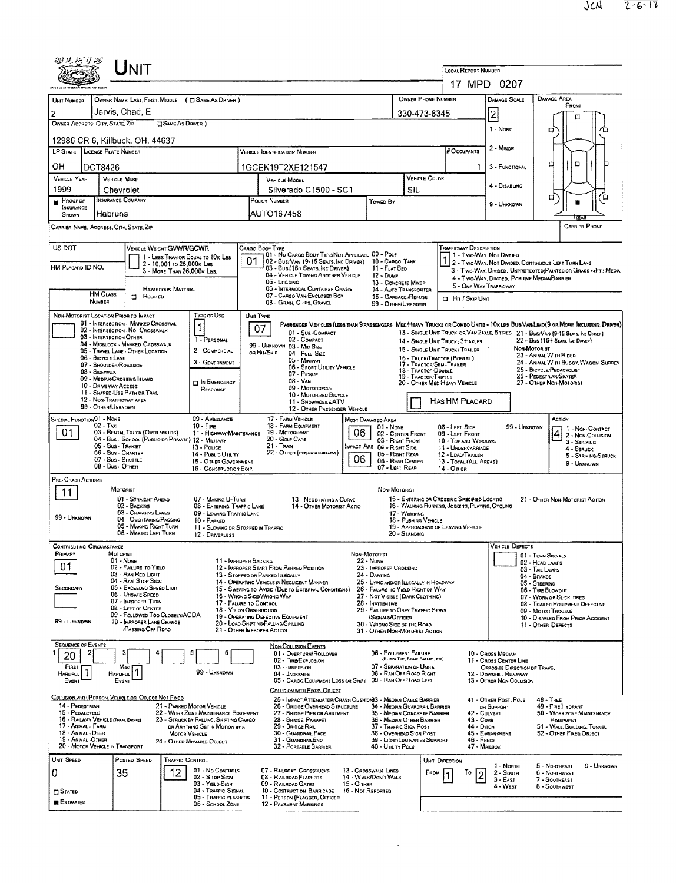| 49 H. F. Y S                                                                                     | UNIT                                                                                          |                                                                                                                  | LOCAL REPORT NUMBER                                                                                                           |                                                                                     |                                                                                                                 |                                                                                   |                                                                                                                                                          |                                                                        |                                                                                                                                                                                                                     |  |  |  |
|--------------------------------------------------------------------------------------------------|-----------------------------------------------------------------------------------------------|------------------------------------------------------------------------------------------------------------------|-------------------------------------------------------------------------------------------------------------------------------|-------------------------------------------------------------------------------------|-----------------------------------------------------------------------------------------------------------------|-----------------------------------------------------------------------------------|----------------------------------------------------------------------------------------------------------------------------------------------------------|------------------------------------------------------------------------|---------------------------------------------------------------------------------------------------------------------------------------------------------------------------------------------------------------------|--|--|--|
|                                                                                                  |                                                                                               |                                                                                                                  | 17 MPD 0207                                                                                                                   |                                                                                     |                                                                                                                 |                                                                                   |                                                                                                                                                          |                                                                        |                                                                                                                                                                                                                     |  |  |  |
| UNIT NUMBER                                                                                      | OWNER NAME: LAST, FIRST, MIDDLE ( I SAME AS DRIVER )                                          |                                                                                                                  |                                                                                                                               |                                                                                     |                                                                                                                 | OWNER PHONE NUMBER                                                                |                                                                                                                                                          | <b>DAMAGE SCALE</b>                                                    | DAMAGE AREA<br>FRONT                                                                                                                                                                                                |  |  |  |
| $\mathbf{2}$<br>OWNER ADDRESS: CITY, STATE, ZIP                                                  | Jarvis, Chad, E<br><b>SAME AS DRIVER</b> )                                                    |                                                                                                                  |                                                                                                                               |                                                                                     |                                                                                                                 | 330-473-8345                                                                      |                                                                                                                                                          | 2                                                                      | □                                                                                                                                                                                                                   |  |  |  |
|                                                                                                  |                                                                                               |                                                                                                                  |                                                                                                                               |                                                                                     |                                                                                                                 |                                                                                   |                                                                                                                                                          | 1 - None                                                               | о                                                                                                                                                                                                                   |  |  |  |
| 12986 CR 6, Killbuck, OH, 44637<br>LP STATE LICENSE PLATE NUMBER                                 |                                                                                               |                                                                                                                  | <b>VEHICLE IDENTIFICATION NUMBER</b>                                                                                          |                                                                                     |                                                                                                                 |                                                                                   |                                                                                                                                                          |                                                                        |                                                                                                                                                                                                                     |  |  |  |
| он<br><b>DCT8426</b>                                                                             |                                                                                               |                                                                                                                  | 1GCEK19T2XE121547                                                                                                             |                                                                                     |                                                                                                                 |                                                                                   | 1                                                                                                                                                        | 3 - FUNCTIONAL                                                         | $\Box$<br>а                                                                                                                                                                                                         |  |  |  |
| <b>VEHICLE YEAR</b><br>1999                                                                      | <b>VEHICLE MAKE</b>                                                                           |                                                                                                                  | <b>VEHICLE MODEL</b><br>Silverado C1500 - SC1                                                                                 |                                                                                     | VEHICLE COLOR<br>SIL                                                                                            |                                                                                   | 4 - DISABLING                                                                                                                                            |                                                                        |                                                                                                                                                                                                                     |  |  |  |
| PROOF DF                                                                                         | Chevrolet<br><b>INSURANCE COMPANY</b>                                                         |                                                                                                                  | POLICY NUMBER                                                                                                                 |                                                                                     |                                                                                                                 | 9 - UNKNOWN                                                                       | о<br>о                                                                                                                                                   |                                                                        |                                                                                                                                                                                                                     |  |  |  |
| <b>INSURANCE</b><br>Habruns<br>SHOWN                                                             |                                                                                               |                                                                                                                  | AUTO167458                                                                                                                    |                                                                                     |                                                                                                                 |                                                                                   |                                                                                                                                                          |                                                                        |                                                                                                                                                                                                                     |  |  |  |
| CARRIER NAME, ADDRESS, CITY, STATE, ZIP                                                          |                                                                                               |                                                                                                                  |                                                                                                                               |                                                                                     |                                                                                                                 |                                                                                   |                                                                                                                                                          |                                                                        | CARRIER PHONE                                                                                                                                                                                                       |  |  |  |
| US DOT                                                                                           | VEHICLE WEIGHT GVWR/GCWR                                                                      |                                                                                                                  | CARGO BOOY TYPE<br>01 - No CARGO BODY TYPE/NOT APPLICABL 09 - POLE                                                            |                                                                                     |                                                                                                                 |                                                                                   | <b>TRAFFICWAY DESCRIPTION</b>                                                                                                                            |                                                                        |                                                                                                                                                                                                                     |  |  |  |
| HM PLACARD ID NO.                                                                                | 1 - LESS THAN OR EQUAL TO 10K LBS<br>2 - 10,001 to 26,000x Les<br>3 - MORE THAN 26.000 K LBS. |                                                                                                                  | 01<br>02 - Bus/Van (9-15 Seats, Inc Driver) 10 - Cargo Tank<br>03 - Bus (16+ Seats, Inc Driver)                               |                                                                                     | 11 - FLAT BED                                                                                                   |                                                                                   | 1 1 - Two War, Not Divideo<br>1 2 - Two Way, Not Divided, Continuous Left Turn Lane<br>3 - Two-Way, Divided. UNPROTECTED (PAINTED OR GRASS > 4FT.) MEDIA |                                                                        |                                                                                                                                                                                                                     |  |  |  |
|                                                                                                  |                                                                                               |                                                                                                                  | 04 - VEHICLE TOWING ANOTHER VEHICLE<br>05 - Logging<br>06 - INTERMODAL CONTAINER CHASIS                                       |                                                                                     | $12 - D$ uMP<br>13 - CONCRETE MIXER<br>14 - Auto Transporter                                                    |                                                                                   | 5 - ONE-WAY TRAFFICWAY                                                                                                                                   | 4 - Two-Way, Divideo, Positive Median Barrier                          |                                                                                                                                                                                                                     |  |  |  |
| <b>HM CLASS</b><br><b>NUMBER</b>                                                                 | <b>HAZAROOUS MATERIAL</b><br>RELATED<br>$\Box$                                                |                                                                                                                  | 07 - CARGO VAN/ENCLOSED BOX<br>08 - Grain, Chips, Gravel                                                                      |                                                                                     | 15 - GARBAGE/REFUSE<br>99 - OTHER/UNKNOWN                                                                       |                                                                                   | <b>D</b> Hit / Skip UNIT                                                                                                                                 |                                                                        |                                                                                                                                                                                                                     |  |  |  |
| NDN-MOTORIST LOCATION PRIOR TO IMPACT                                                            |                                                                                               | TYPE OF USE                                                                                                      | UNIT TYPE                                                                                                                     |                                                                                     |                                                                                                                 |                                                                                   |                                                                                                                                                          |                                                                        |                                                                                                                                                                                                                     |  |  |  |
| 03 - INTERSECTION OTHER                                                                          | 01 - INTERSECTION - MARKED CROSSWAL<br>02 - INTERSECTION - NO CROSSWALK                       |                                                                                                                  | 07<br>01 - Sub-COMPACT                                                                                                        |                                                                                     |                                                                                                                 |                                                                                   |                                                                                                                                                          |                                                                        | PASSENGER VEHICLES (LESS THAN 9 PASSENGERS MEDIMEAVY TRUCKS OR COMBO UNITE > 10KLBS BUS/VAN/LIMO(9 OR MORE INCLUDING, DRIVER)<br>13 - SINGLE UNIT TRUCK OR VAN ZAXLE, 6 TIRES 21 - BUS/VAN (9-15 SEATS, INC DRIVER) |  |  |  |
|                                                                                                  | 04 - MIDBLOCK - MARKED CRDSSWALK<br>05 - TRAVEL LANE - OTHER LOCATION                         | 1 - PERSONAL<br>2 - COMMERCIAL                                                                                   | 02 - COMPACT<br>99 - UNKNOWN 03 - MID SIZE<br>or Hit/Skip<br>04 - FULL SIZE                                                   |                                                                                     |                                                                                                                 |                                                                                   | 22 - Bus (16+ Sears, Inc Drevew)<br>14 - SINGLE UNIT TRUCK: 3+ AXLES<br>Non-Motoriat<br>15 - SINGLE UNIT TRUCK / TRAILER                                 |                                                                        |                                                                                                                                                                                                                     |  |  |  |
| 06 - BICYCLE LANE<br>07 - Shoulder/Roadsige                                                      |                                                                                               | 3 - Government                                                                                                   | 05 - Minivan                                                                                                                  | 06 - SPORT UTILITY VEHICLE                                                          |                                                                                                                 | 16 - TRUCK/TRACTOR (BOBTAL)<br>17 - TRACTOR/SEMI-TRAILER                          |                                                                                                                                                          |                                                                        | 23 - ANMAL WITH RIDER<br>24 - ANMAL WITH BUGGY, WAGON, SURREY<br>25 - BICYCLE/PEDACYCLIST                                                                                                                           |  |  |  |
| 08 - SIDEWALK<br>09 - Median/Crossing Island<br>10 - DRIVE WAY ACCESS                            |                                                                                               | <b>DIN EMERGENCY</b>                                                                                             | 07 - Pickup<br>$08 - V_{\text{AVI}}$                                                                                          |                                                                                     | 18 - TRACTOR/DOUBLE<br>19 - TRACTOR/TRIPLES                                                                     | 26 - PEDESTRIAN/SKATER<br>20 - OTHER MED/HEAVY VEHICLE<br>27 - OTHER NON-MOTORIST |                                                                                                                                                          |                                                                        |                                                                                                                                                                                                                     |  |  |  |
| 11 - SHARED-USE PATH DR TRAS<br>12 - NON-TRAFFICWAY AREA                                         |                                                                                               | RESPONSE                                                                                                         | 09 - MOTORCYCLE<br>10 - MOTORIZED BICYCLE<br>11 - SNOWMOBILE/ATV                                                              |                                                                                     |                                                                                                                 |                                                                                   | HAS HM PLACARD                                                                                                                                           |                                                                        |                                                                                                                                                                                                                     |  |  |  |
| 99 - OTHER/UNKNOWN<br>SPECIAL FUNCTION 01 - NONE                                                 |                                                                                               | 09 - AMSULANCE                                                                                                   | 17 - FARM VEHICLE                                                                                                             | 12 - OTHER PASSENGER VEHICLE                                                        |                                                                                                                 |                                                                                   |                                                                                                                                                          |                                                                        | ACTION                                                                                                                                                                                                              |  |  |  |
| 02 - Taxi<br>01                                                                                  | 03 - RENTAL TRUCK (OVER 10K LBS)                                                              | $10 - F_{\text{IHE}}$<br>11 - HIGHWAY/MAINTENANCE                                                                | 18 - FARM EQUIPMENT<br>19 - MOTORHOME                                                                                         | MOST DAMAGED AREA<br>01 - None<br>02 - CENTER FRONT                                 |                                                                                                                 | 08 - LEFT SIDE<br>09 - LEFT FRONT                                                 | 99 - Unxnown<br>1 - Non-Contact<br>$\left  4 \right $ 2 - Non-Collision                                                                                  |                                                                        |                                                                                                                                                                                                                     |  |  |  |
| 05 - Bus - Transit                                                                               | 04 - Bus - SCHOOL (PUBLIC DR PRIVATE) 12 - MILITARY                                           | 13 - Pouce                                                                                                       | 20 - Golf Carl<br>$21 -$ Tran                                                                                                 | 03 - RIGHT FRONT<br>IMPACT ARE 04 - RIGHT SIDE                                      |                                                                                                                 | 10 - TOP AND WINDDWS<br>$3 -$ Striking<br>11 - UNDERCARRIAGE<br>4 - STRUCK        |                                                                                                                                                          |                                                                        |                                                                                                                                                                                                                     |  |  |  |
| 06 - Bus - Charter<br>07 - Bus - SHUTTLE                                                         |                                                                                               | 14 - Pusuc Unum<br>15 - OTHER GOVERNMENT                                                                         | 22 - OTHER (EXPLAN: N NARRATIVE)                                                                                              | 06                                                                                  | 05 - RIGHT REAR<br>06 - REAR CENTER                                                                             |                                                                                   | 12 - LOAD/TRAILER<br>5 - STRIKING/STRUCK<br>13 - TOTAL (ALL AREAS)<br>9 - UNKNOWN                                                                        |                                                                        |                                                                                                                                                                                                                     |  |  |  |
| 08 - Bus - OTHER<br>07 - Left Rear<br>16 - CONSTRUCTION EOIP.<br>14 - OTHER<br>PRE-CRASH ACTIONS |                                                                                               |                                                                                                                  |                                                                                                                               |                                                                                     |                                                                                                                 |                                                                                   |                                                                                                                                                          |                                                                        |                                                                                                                                                                                                                     |  |  |  |
| 11                                                                                               | MOTORIST<br>01 - STRAIGHT AHEAD                                                               | 07 - MAKING U-TURN                                                                                               |                                                                                                                               | 13 - NEGDTIATING A CURVE                                                            | NON-MOTORIST                                                                                                    |                                                                                   | 15 - ENTERING OR CROSSING SPECIFIED LOCATIO                                                                                                              |                                                                        | 21 - OTHER NON-MOTORIST ACTION                                                                                                                                                                                      |  |  |  |
|                                                                                                  | 02 - BACKING<br>03 - CHANGING LANES                                                           | 08 - ENTERING TRAFFIC LANE<br>09 - LEAVING TRAFFIC LANE                                                          |                                                                                                                               | 14 - OTHER MOTORIST ACTIO                                                           | 17 - WORKING                                                                                                    |                                                                                   | 16 - WALKING, RUNNING, JOGGING, PLAYING, CYCLING                                                                                                         |                                                                        |                                                                                                                                                                                                                     |  |  |  |
| 99 - UNKNOWN                                                                                     | 04 - Overtaking/Passing<br>05 - MAKING RIGHT TURN                                             | 10 - PARKED<br>11 - SLOWING DR STOPPED IN TRAPFIC                                                                |                                                                                                                               |                                                                                     |                                                                                                                 | 18 - Pushing Vehicle                                                              | 19 - APPROACHING OR LEAVING VEHICLE                                                                                                                      |                                                                        |                                                                                                                                                                                                                     |  |  |  |
| <b>CONTRIBUTING CIRCUMSTANCE</b>                                                                 | 06 - MAKING LEFT TURN                                                                         | 12 - DRIVERLESS                                                                                                  |                                                                                                                               |                                                                                     | 20 - STANDING                                                                                                   |                                                                                   |                                                                                                                                                          | <b>VEHICLE DEFECTS</b>                                                 |                                                                                                                                                                                                                     |  |  |  |
| PRIMARY                                                                                          | MOTORIST<br>01 - None                                                                         |                                                                                                                  | 11 - IMPROPER BACKING                                                                                                         | NDN-MOTORIST<br>22 - None                                                           |                                                                                                                 |                                                                                   |                                                                                                                                                          | 01 - TURN SIGNALS<br>02 - HEAD LAMPS                                   |                                                                                                                                                                                                                     |  |  |  |
| 01                                                                                               | 02 - FALURE TO YIELD<br>03 - RAN RED LIGHT<br>04 - RAN STOP SION                              |                                                                                                                  | 12 - IMPROPER START FROM PARKED POSITION<br>13 - STOPPED OR PARKED ILLEGALLY                                                  |                                                                                     | 23 - IMPROPER CROSSING<br>24 - DARTING                                                                          |                                                                                   | 03 - TAIL LAMPS<br>04 - BRAKES                                                                                                                           |                                                                        |                                                                                                                                                                                                                     |  |  |  |
| SECONDARY                                                                                        | 05 - Exceepet Speep Limit<br>06 - UNSAFE SPEED                                                |                                                                                                                  | 14 - OPERATING VEHICLE IN NEGLIGENT MANNER<br>15 - Swering to Avdid (Due to External Conditions)<br>16 - WRONG SIDE/WRONG WAY |                                                                                     | 25 - LYING ANDIOR ILLEGALLY IN ROADWAY<br>26 - FALURE TO YIELD RIGHT DF WAY<br>27 - NOT VISIBLE (DARK CLOTHING) |                                                                                   | 05 - STEERING<br>06 - TIRE BLOWOUT<br>07 - WORN OR SLICK TIRES                                                                                           |                                                                        |                                                                                                                                                                                                                     |  |  |  |
|                                                                                                  | 07 - IMPROPER TURN<br>08 - LEFT OF CENTER                                                     |                                                                                                                  | 17 - FALURE TO CONTROL<br>18 - VISION OBSTRUCTION                                                                             |                                                                                     | 28 - INATTENTIVE<br>29 - FAILURE TO OBEY TRAFFIC SIGNS                                                          |                                                                                   |                                                                                                                                                          | 08 - TRAILER EQUIPMENT DEFECTIVE<br>09 - MOTOR TROUBLE                 |                                                                                                                                                                                                                     |  |  |  |
| 99 - UNKNOWN                                                                                     | 09 - FOLLOWED TOD CLOSELY/ACDA<br>10 - IMPROPER LANE CHANGE<br><b>PASSING OFF RDAD</b>        |                                                                                                                  | 19 - OPERATING DEFECTIVE EQUIPMENT<br>20 - LOAD SHIFTING/FALLING/SPILLING                                                     | /SIGNALS/OFFICER<br>30 - WRONG SIDE OF THE ROAD                                     |                                                                                                                 | 10 - DISABLED FROM PRIOR ACCIDENT<br>11 - OTHER DEFECTS                           |                                                                                                                                                          |                                                                        |                                                                                                                                                                                                                     |  |  |  |
| <b>SEQUENCE OF EVENTS</b>                                                                        |                                                                                               |                                                                                                                  | 21 - OTHER IMPROPER ACTION<br><b>NON-COLLISION EVENTS</b>                                                                     |                                                                                     | 31 - OTHER NON-MOTORIST ACTION                                                                                  |                                                                                   |                                                                                                                                                          |                                                                        |                                                                                                                                                                                                                     |  |  |  |
| 20                                                                                               |                                                                                               | 5<br>6                                                                                                           | 01 - OVERTURN/ROLLOVER<br>02 - FIRE/EXPLOSION                                                                                 |                                                                                     | 06 - EQUIPMENT FAILURE                                                                                          | (BLOWN TIRE, BRAKE FAILURE, ETC)                                                  |                                                                                                                                                          | 10 - Cross Median<br>11 - Cross CENTER LINE                            |                                                                                                                                                                                                                     |  |  |  |
| FIRST<br><b>HARMFUL</b>                                                                          | Most<br>HARMFUL                                                                               | 99 - UNKNOWN                                                                                                     | 03 - IMMERSION<br>04 - JACKKNIFE                                                                                              |                                                                                     | 07 - SEPARATION OF UNITS<br>08 - RAN OFF ROAD RIGHT                                                             |                                                                                   |                                                                                                                                                          | OPPOSITE DIRECTION OF TRAVEL<br>12 - DOWNHILL RUNAWAY                  |                                                                                                                                                                                                                     |  |  |  |
| EVENT                                                                                            | EVENT                                                                                         |                                                                                                                  | COLLISION WITH FIXED, OBJECT                                                                                                  | 05 - CARGO/EQUIPMENT LOSS OR SHIFT                                                  | 09 - RAN OFF ROAD LEFT                                                                                          |                                                                                   |                                                                                                                                                          | 13 - OTHER NON-COLLISION                                               |                                                                                                                                                                                                                     |  |  |  |
| COLLISION WITH PERSON, VEHICLE OB OBJECT NOT FIXED<br>14 - PEDESTRIAN                            |                                                                                               | 21 - PARKED MOTOR VEHICLE                                                                                        | 26 - BRIDGE OVERHEAD STRUCTURE                                                                                                | 25 - IMPACT ATTENUATOR/CRASH CUSHION33 - MEOIAN CABLE BARRIER                       | 34 - Median Guardrail Barrier                                                                                   |                                                                                   | 41 - OTHER POST, POLE<br>$48 -$ TREE<br>49 - FIRE HYDRANT<br>DR SUPPORT                                                                                  |                                                                        |                                                                                                                                                                                                                     |  |  |  |
| 15 - PEDALCYCLE<br>16 - RAILWAY VEHICLE (TRAN, ENGINE)<br>17 - ANIMAL - FARM                     |                                                                                               | 22 - WORK ZONE MAINTENANCE EQUIPMENT<br>23 - STRUCK BY FALLING, SHIFTING CARGO<br>DR ANYTHING SET IN MOTION BY A | 27 - BRIDGE PIER OR ABUTMENT<br>28 - BRIDGE PARAPET<br>29 - BRIDGE RAIL                                                       | 35 - MEDIAN CONCRETE BARRIER<br>36 - MEDIAN OTHER BARRIER<br>37 - TRAFFIC SIGN POST |                                                                                                                 | 42 - CULVERT<br>43 - Curs<br>44 - Опсн                                            |                                                                                                                                                          | 50 - WORK ZONE MAINTENANCE<br>EQUIPMENT<br>51 - WALL, BUILDING, TUNNEL |                                                                                                                                                                                                                     |  |  |  |
| 18 - ANMAL - DEER<br>19 - ANIMAL - OTHER                                                         |                                                                                               | MOTOR VEHICLE<br>24 - OTHER MOVABLE OBJECT                                                                       | 30 - GUARDRAIL FACE<br>38 - Overhead Sign Post<br>31 - GUARDRAILEND<br>39 - LIGHTI LUMINARIES SUPPORT                         |                                                                                     |                                                                                                                 |                                                                                   | 46 - FENCE                                                                                                                                               | 45 - EMBANKMENT<br>52 - OTHER FIXED OBJECT                             |                                                                                                                                                                                                                     |  |  |  |
| 20 - MOTOR VEHICLE IN TRANSPORT<br>UNIT SPEED                                                    | POSTED SPEED<br><b>TRAFFIC CONTROL</b>                                                        |                                                                                                                  | 32 - PORTABLE BARRIER                                                                                                         |                                                                                     | 40 - UTILITY POLE                                                                                               | UNIT DIRECTION                                                                    | 47 - MAILBOX                                                                                                                                             |                                                                        |                                                                                                                                                                                                                     |  |  |  |
| 0                                                                                                | 12<br>35                                                                                      | 01 - No CONTROLS<br>02 - S TOP STON                                                                              | 07 - RAILROAD CROSSBUCKS<br>08 - RAILRDAD FLASHERS                                                                            | 13 - CROSSWALK LINES                                                                | 14 - WALK/DON'T WALK                                                                                            | FROM                                                                              | To                                                                                                                                                       | 1 - Nonth<br>2 - South                                                 | 9 - Unknown<br>5 - NORTHEAST<br>6 - NORTHWEST                                                                                                                                                                       |  |  |  |
| $\square$ Stated                                                                                 |                                                                                               | 03 - YIELD SIGN<br>04 - TRAFFIC SIGNAL                                                                           | 09 - RAILROAD GATES<br>10 - COSTRUCTION BARRICADE                                                                             | $15 - O$ Then<br>16 - Not Reported                                                  |                                                                                                                 |                                                                                   |                                                                                                                                                          | $3 - East$<br>4 - West                                                 | 7 - SOUTHEAST<br>8 - Southwest                                                                                                                                                                                      |  |  |  |
| <b>ESTIMATED</b>                                                                                 |                                                                                               | 05 - TRAFFIC FLASHERS<br>06 - SCHDDL ZONE                                                                        | 11 - PERSON (FLAGGER, OFFICER<br>12 - PAVEMENT MARKINGS                                                                       |                                                                                     |                                                                                                                 |                                                                                   |                                                                                                                                                          |                                                                        |                                                                                                                                                                                                                     |  |  |  |

 $\mathcal{L}^{\text{max}}_{\text{max}}$ 

 $\mathcal{L}^{\text{max}}_{\text{max}}$